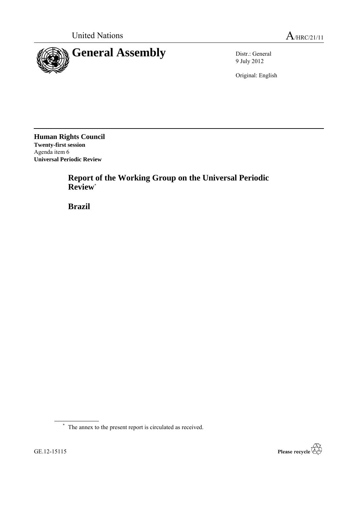

9 July 2012

Original: English

**Human Rights Council Twenty-first session** Agenda item 6 **Universal Periodic Review**

> **Report of the Working Group on the Universal Periodic Review**\*

**Brazil**



<sup>\*</sup> The annex to the present report is circulated as received.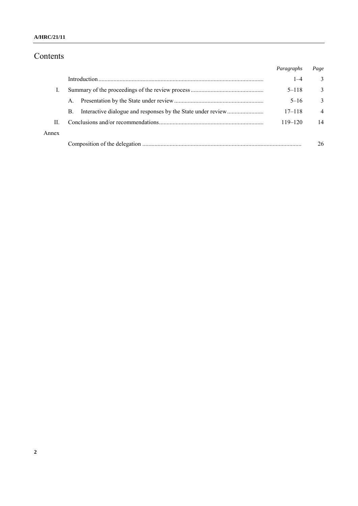### **A/HRC/21/11**

# Contents

|       |    | Paragraphs  | Page           |
|-------|----|-------------|----------------|
|       |    | $1 - 4$     | 3              |
|       |    | $5 - 118$   | $\mathcal{E}$  |
|       | A. | $5 - 16$    | $\mathbf{3}$   |
|       | B. | $17 - 118$  | $\overline{4}$ |
| П     |    | $119 - 120$ | 14             |
| Annex |    |             |                |
|       |    |             | 26             |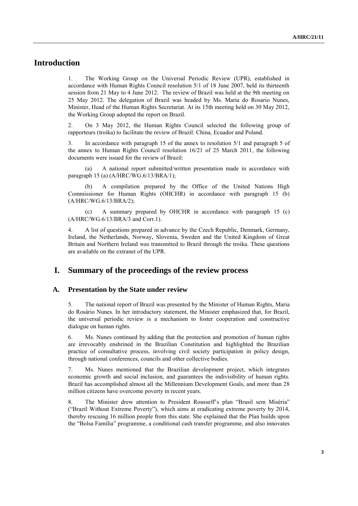# **Introduction**

1. The Working Group on the Universal Periodic Review (UPR), established in accordance with Human Rights Council resolution 5/1 of 18 June 2007, held its thirteenth session from 21 May to 4 June 2012. The review of Brazil was held at the 9th meeting on 25 May 2012. The delegation of Brazil was headed by Ms. Maria do Rosario Nunes, Minister, Head of the Human Rights Secretariat. At its 15th meeting held on 30 May 2012, the Working Group adopted the report on Brazil.

2. On 3 May 2012, the Human Rights Council selected the following group of rapporteurs (troika) to facilitate the review of Brazil: China, Ecuador and Poland.

3. In accordance with paragraph 15 of the annex to resolution 5/1 and paragraph 5 of the annex to Human Rights Council resolution 16/21 of 25 March 2011, the following documents were issued for the review of Brazil:

(a) A national report submitted/written presentation made in accordance with paragraph 15 (a) (A/HRC/WG.6/13/BRA/1);

(b) A compilation prepared by the Office of the United Nations High Commissioner for Human Rights (OHCHR) in accordance with paragraph 15 (b) (A/HRC/WG.6/13/BRA/2);

(c) A summary prepared by OHCHR in accordance with paragraph 15 (c) (A/HRC/WG.6/13/BRA/3 and Corr.1).

4. A list of questions prepared in advance by the Czech Republic, Denmark, Germany, Ireland, the Netherlands, Norway, Slovenia, Sweden and the United Kingdom of Great Britain and Northern Ireland was transmitted to Brazil through the troika. These questions are available on the extranet of the UPR.

## **I. Summary of the proceedings of the review process**

#### **A. Presentation by the State under review**

5. The national report of Brazil was presented by the Minister of Human Rights, Maria do Rosário Nunes. In her introductory statement, the Minister emphasized that, for Brazil, the universal periodic review is a mechanism to foster cooperation and constructive dialogue on human rights.

6. Ms. Nunes continued by adding that the protection and promotion of human rights are irrevocably enshrined in the Brazilian Constitution and highlighted the Brazilian practice of consultative process, involving civil society participation in policy design, through national conferences, councils and other collective bodies.

7. Ms. Nunes mentioned that the Brazilian development project, which integrates economic growth and social inclusion, and guarantees the indivisibility of human rights. Brazil has accomplished almost all the Millennium Development Goals, and more than 28 million citizens have overcome poverty in recent years.

8. The Minister drew attention to President Rousseff's plan "Brasil sem Miséria" ("Brazil Without Extreme Poverty"), which aims at eradicating extreme poverty by 2014, thereby rescuing 16 million people from this state. She explained that the Plan builds upon the "Bolsa Família" programme, a conditional cash transfer programme, and also innovates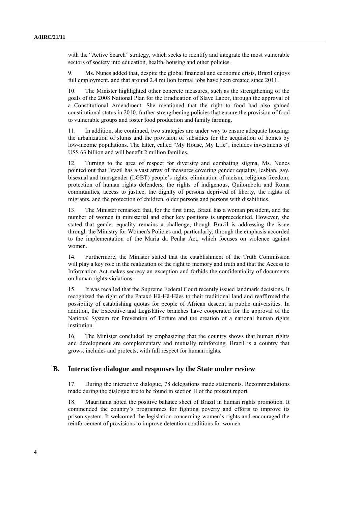with the "Active Search" strategy, which seeks to identify and integrate the most vulnerable sectors of society into education, health, housing and other policies.

9. Ms. Nunes added that, despite the global financial and economic crisis, Brazil enjoys full employment, and that around 2.4 million formal jobs have been created since 2011.

The Minister highlighted other concrete measures, such as the strengthening of the goals of the 2008 National Plan for the Eradication of Slave Labor, through the approval of a Constitutional Amendment. She mentioned that the right to food had also gained constitutional status in 2010, further strengthening policies that ensure the provision of food to vulnerable groups and foster food production and family farming.

11. In addition, she continued, two strategies are under way to ensure adequate housing: the urbanization of slums and the provision of subsidies for the acquisition of homes by low-income populations. The latter, called "My House, My Life", includes investments of US\$ 63 billion and will benefit 2 million families.

12. Turning to the area of respect for diversity and combating stigma, Ms. Nunes pointed out that Brazil has a vast array of measures covering gender equality, lesbian, gay, bisexual and transgender (LGBT) people's rights, elimination of racism, religious freedom, protection of human rights defenders, the rights of indigenous, Quilombola and Roma communities, access to justice, the dignity of persons deprived of liberty, the rights of migrants, and the protection of children, older persons and persons with disabilities.

13. The Minister remarked that, for the first time, Brazil has a woman president, and the number of women in ministerial and other key positions is unprecedented. However, she stated that gender equality remains a challenge, though Brazil is addressing the issue through the Ministry for Women's Policies and, particularly, through the emphasis accorded to the implementation of the Maria da Penha Act, which focuses on violence against women.

14. Furthermore, the Minister stated that the establishment of the Truth Commission will play a key role in the realization of the right to memory and truth and that the Access to Information Act makes secrecy an exception and forbids the confidentiality of documents on human rights violations.

15. It was recalled that the Supreme Federal Court recently issued landmark decisions. It recognized the right of the Pataxó Hã-Hã-Hães to their traditional land and reaffirmed the possibility of establishing quotas for people of African descent in public universities. In addition, the Executive and Legislative branches have cooperated for the approval of the National System for Prevention of Torture and the creation of a national human rights institution.

16. The Minister concluded by emphasizing that the country shows that human rights and development are complementary and mutually reinforcing. Brazil is a country that grows, includes and protects, with full respect for human rights.

#### **B. Interactive dialogue and responses by the State under review**

17. During the interactive dialogue, 78 delegations made statements. Recommendations made during the dialogue are to be found in section II of the present report.

18. Mauritania noted the positive balance sheet of Brazil in human rights promotion. It commended the country's programmes for fighting poverty and efforts to improve its prison system. It welcomed the legislation concerning women's rights and encouraged the reinforcement of provisions to improve detention conditions for women.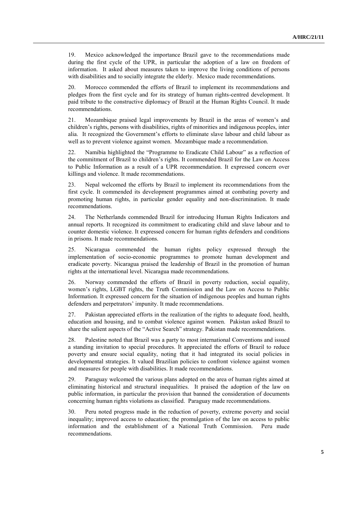19. Mexico acknowledged the importance Brazil gave to the recommendations made during the first cycle of the UPR, in particular the adoption of a law on freedom of information. It asked about measures taken to improve the living conditions of persons with disabilities and to socially integrate the elderly. Mexico made recommendations.

20. Morocco commended the efforts of Brazil to implement its recommendations and pledges from the first cycle and for its strategy of human rights-centred development. It paid tribute to the constructive diplomacy of Brazil at the Human Rights Council. It made recommendations.

21. Mozambique praised legal improvements by Brazil in the areas of women's and children's rights, persons with disabilities, rights of minorities and indigenous peoples, inter alia. It recognized the Government's efforts to eliminate slave labour and child labour as well as to prevent violence against women. Mozambique made a recommendation.

22. Namibia highlighted the "Programme to Eradicate Child Labour" as a reflection of the commitment of Brazil to children's rights. It commended Brazil for the Law on Access to Public Information as a result of a UPR recommendation. It expressed concern over killings and violence. It made recommendations.

23. Nepal welcomed the efforts by Brazil to implement its recommendations from the first cycle. It commended its development programmes aimed at combating poverty and promoting human rights, in particular gender equality and non-discrimination. It made recommendations.

24. The Netherlands commended Brazil for introducing Human Rights Indicators and annual reports. It recognized its commitment to eradicating child and slave labour and to counter domestic violence. It expressed concern for human rights defenders and conditions in prisons. It made recommendations.

25. Nicaragua commended the human rights policy expressed through the implementation of socio-economic programmes to promote human development and eradicate poverty. Nicaragua praised the leadership of Brazil in the promotion of human rights at the international level. Nicaragua made recommendations.

26. Norway commended the efforts of Brazil in poverty reduction, social equality, women's rights, LGBT rights, the Truth Commission and the Law on Access to Public Information. It expressed concern for the situation of indigenous peoples and human rights defenders and perpetrators' impunity. It made recommendations.

27. Pakistan appreciated efforts in the realization of the rights to adequate food, health, education and housing, and to combat violence against women. Pakistan asked Brazil to share the salient aspects of the "Active Search" strategy. Pakistan made recommendations.

28. Palestine noted that Brazil was a party to most international Conventions and issued a standing invitation to special procedures. It appreciated the efforts of Brazil to reduce poverty and ensure social equality, noting that it had integrated its social policies in developmental strategies. It valued Brazilian policies to confront violence against women and measures for people with disabilities. It made recommendations.

29. Paraguay welcomed the various plans adopted on the area of human rights aimed at eliminating historical and structural inequalities. It praised the adoption of the law on public information, in particular the provision that banned the consideration of documents concerning human rights violations as classified. Paraguay made recommendations.

30. Peru noted progress made in the reduction of poverty, extreme poverty and social inequality; improved access to education; the promulgation of the law on access to public information and the establishment of a National Truth Commission. Peru made recommendations.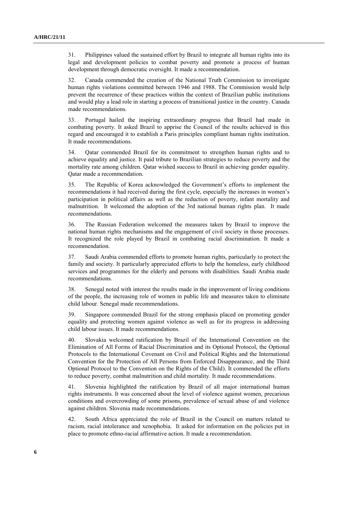31. Philippines valued the sustained effort by Brazil to integrate all human rights into its legal and development policies to combat poverty and promote a process of human development through democratic oversight. It made a recommendation.

32. Canada commended the creation of the National Truth Commission to investigate human rights violations committed between 1946 and 1988. The Commission would help prevent the recurrence of these practices within the context of Brazilian public institutions and would play a lead role in starting a process of transitional justice in the country. Canada made recommendations.

33. Portugal hailed the inspiring extraordinary progress that Brazil had made in combating poverty. It asked Brazil to apprise the Council of the results achieved in this regard and encouraged it to establish a Paris principles compliant human rights institution. It made recommendations.

34. Qatar commended Brazil for its commitment to strengthen human rights and to achieve equality and justice. It paid tribute to Brazilian strategies to reduce poverty and the mortality rate among children. Qatar wished success to Brazil in achieving gender equality. Qatar made a recommendation.

35. The Republic of Korea acknowledged the Government's efforts to implement the recommendations it had received during the first cycle, especially the increases in women's participation in political affairs as well as the reduction of poverty, infant mortality and malnutrition. It welcomed the adoption of the 3rd national human rights plan. It made recommendations.

36. The Russian Federation welcomed the measures taken by Brazil to improve the national human rights mechanisms and the engagement of civil society in those processes. It recognized the role played by Brazil in combating racial discrimination. It made a recommendation.

37. Saudi Arabia commended efforts to promote human rights, particularly to protect the family and society. It particularly appreciated efforts to help the homeless, early childhood services and programmes for the elderly and persons with disabilities. Saudi Arabia made recommendations.

38. Senegal noted with interest the results made in the improvement of living conditions of the people, the increasing role of women in public life and measures taken to eliminate child labour. Senegal made recommendations.

39. Singapore commended Brazil for the strong emphasis placed on promoting gender equality and protecting women against violence as well as for its progress in addressing child labour issues. It made recommendations.

40. Slovakia welcomed ratification by Brazil of the International Convention on the Elimination of All Forms of Racial Discrimination and its Optional Protocol, the Optional Protocols to the International Covenant on Civil and Political Rights and the International Convention for the Protection of All Persons from Enforced Disappearance, and the Third Optional Protocol to the Convention on the Rights of the Child). It commended the efforts to reduce poverty, combat malnutrition and child mortality. It made recommendations.

41. Slovenia highlighted the ratification by Brazil of all major international human rights instruments. It was concerned about the level of violence against women, precarious conditions and overcrowding of some prisons, prevalence of sexual abuse of and violence against children. Slovenia made recommendations.

42. South Africa appreciated the role of Brazil in the Council on matters related to racism, racial intolerance and xenophobia. It asked for information on the policies put in place to promote ethno-racial affirmative action. It made a recommendation.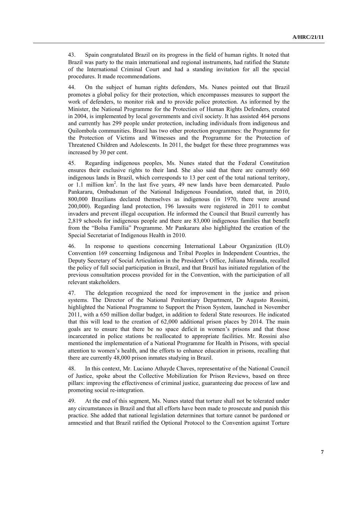43. Spain congratulated Brazil on its progress in the field of human rights. It noted that Brazil was party to the main international and regional instruments, had ratified the Statute of the International Criminal Court and had a standing invitation for all the special procedures. It made recommendations.

44. On the subject of human rights defenders, Ms. Nunes pointed out that Brazil promotes a global policy for their protection, which encompasses measures to support the work of defenders, to monitor risk and to provide police protection. As informed by the Minister, the National Programme for the Protection of Human Rights Defenders, created in 2004, is implemented by local governments and civil society. It has assisted 464 persons and currently has 299 people under protection, including individuals from indigenous and Quilombola communities. Brazil has two other protection programmes: the Programme for the Protection of Victims and Witnesses and the Programme for the Protection of Threatened Children and Adolescents. In 2011, the budget for these three programmes was increased by 30 per cent.

45. Regarding indigenous peoples, Ms. Nunes stated that the Federal Constitution ensures their exclusive rights to their land. She also said that there are currently 660 indigenous lands in Brazil, which corresponds to 13 per cent of the total national territory, or 1.1 million  $km^2$ . In the last five years, 49 new lands have been demarcated. Paulo Pankararu, Ombudsman of the National Indigenous Foundation, stated that, in 2010, 800,000 Brazilians declared themselves as indigenous (in 1970, there were around 200,000). Regarding land protection, 196 lawsuits were registered in 2011 to combat invaders and prevent illegal occupation. He informed the Council that Brazil currently has 2,819 schools for indigenous people and there are 83,000 indigenous families that benefit from the "Bolsa Família" Programme. Mr Pankararu also highlighted the creation of the Special Secretariat of Indigenous Health in 2010.

46. In response to questions concerning International Labour Organization (ILO) Convention 169 concerning Indigenous and Tribal Peoples in Independent Countries, the Deputy Secretary of Social Articulation in the President's Office, Juliana Miranda, recalled the policy of full social participation in Brazil, and that Brazil has initiated regulation of the previous consultation process provided for in the Convention, with the participation of all relevant stakeholders.

47. The delegation recognized the need for improvement in the justice and prison systems. The Director of the National Penitentiary Department, Dr Augusto Rossini, highlighted the National Programme to Support the Prison System, launched in November 2011, with a 650 million dollar budget, in addition to federal State resources. He indicated that this will lead to the creation of 62,000 additional prison places by 2014. The main goals are to ensure that there be no space deficit in women's prisons and that those incarcerated in police stations be reallocated to appropriate facilities. Mr. Rossini also mentioned the implementation of a National Programme for Health in Prisons, with special attention to women's health, and the efforts to enhance education in prisons, recalling that there are currently 48,000 prison inmates studying in Brazil.

48. In this context, Mr. Luciano Athayde Chaves, representative of the National Council of Justice, spoke about the Collective Mobilization for Prison Reviews, based on three pillars: improving the effectiveness of criminal justice, guaranteeing due process of law and promoting social re-integration.

49. At the end of this segment, Ms. Nunes stated that torture shall not be tolerated under any circumstances in Brazil and that all efforts have been made to prosecute and punish this practice. She added that national legislation determines that torture cannot be pardoned or amnestied and that Brazil ratified the Optional Protocol to the Convention against Torture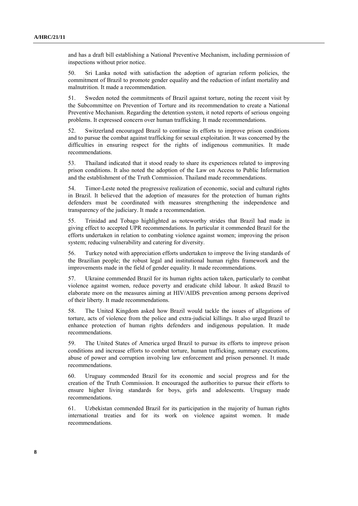and has a draft bill establishing a National Preventive Mechanism, including permission of inspections without prior notice.

50. Sri Lanka noted with satisfaction the adoption of agrarian reform policies, the commitment of Brazil to promote gender equality and the reduction of infant mortality and malnutrition. It made a recommendation.

51. Sweden noted the commitments of Brazil against torture, noting the recent visit by the Subcommittee on Prevention of Torture and its recommendation to create a National Preventive Mechanism. Regarding the detention system, it noted reports of serious ongoing problems. It expressed concern over human trafficking. It made recommendations.

52. Switzerland encouraged Brazil to continue its efforts to improve prison conditions and to pursue the combat against trafficking for sexual exploitation. It was concerned by the difficulties in ensuring respect for the rights of indigenous communities. It made recommendations.

53. Thailand indicated that it stood ready to share its experiences related to improving prison conditions. It also noted the adoption of the Law on Access to Public Information and the establishment of the Truth Commission. Thailand made recommendations.

54. Timor-Leste noted the progressive realization of economic, social and cultural rights in Brazil. It believed that the adoption of measures for the protection of human rights defenders must be coordinated with measures strengthening the independence and transparency of the judiciary. It made a recommendation.

55. Trinidad and Tobago highlighted as noteworthy strides that Brazil had made in giving effect to accepted UPR recommendations. In particular it commended Brazil for the efforts undertaken in relation to combating violence against women; improving the prison system; reducing vulnerability and catering for diversity.

56. Turkey noted with appreciation efforts undertaken to improve the living standards of the Brazilian people; the robust legal and institutional human rights framework and the improvements made in the field of gender equality. It made recommendations.

57. Ukraine commended Brazil for its human rights action taken, particularly to combat violence against women, reduce poverty and eradicate child labour. It asked Brazil to elaborate more on the measures aiming at HIV/AIDS prevention among persons deprived of their liberty. It made recommendations.

58. The United Kingdom asked how Brazil would tackle the issues of allegations of torture, acts of violence from the police and extra-judicial killings. It also urged Brazil to enhance protection of human rights defenders and indigenous population. It made recommendations.

59. The United States of America urged Brazil to pursue its efforts to improve prison conditions and increase efforts to combat torture, human trafficking, summary executions, abuse of power and corruption involving law enforcement and prison personnel. It made recommendations.

60. Uruguay commended Brazil for its economic and social progress and for the creation of the Truth Commission. It encouraged the authorities to pursue their efforts to ensure higher living standards for boys, girls and adolescents. Uruguay made recommendations.

61. Uzbekistan commended Brazil for its participation in the majority of human rights international treaties and for its work on violence against women. It made recommendations.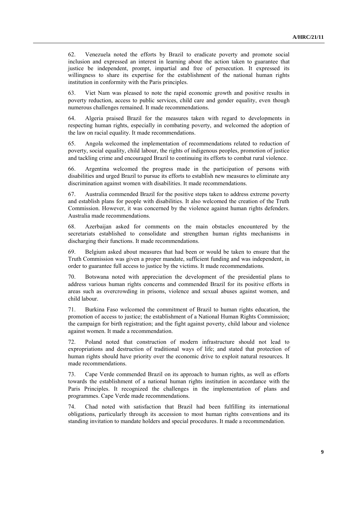62. Venezuela noted the efforts by Brazil to eradicate poverty and promote social inclusion and expressed an interest in learning about the action taken to guarantee that justice be independent, prompt, impartial and free of persecution. It expressed its willingness to share its expertise for the establishment of the national human rights institution in conformity with the Paris principles.

63. Viet Nam was pleased to note the rapid economic growth and positive results in poverty reduction, access to public services, child care and gender equality, even though numerous challenges remained. It made recommendations.

64. Algeria praised Brazil for the measures taken with regard to developments in respecting human rights, especially in combating poverty, and welcomed the adoption of the law on racial equality. It made recommendations.

65. Angola welcomed the implementation of recommendations related to reduction of poverty, social equality, child labour, the rights of indigenous peoples, promotion of justice and tackling crime and encouraged Brazil to continuing its efforts to combat rural violence.

66. Argentina welcomed the progress made in the participation of persons with disabilities and urged Brazil to pursue its efforts to establish new measures to eliminate any discrimination against women with disabilities. It made recommendations.

67. Australia commended Brazil for the positive steps taken to address extreme poverty and establish plans for people with disabilities. It also welcomed the creation of the Truth Commission. However, it was concerned by the violence against human rights defenders. Australia made recommendations.

68. Azerbaijan asked for comments on the main obstacles encountered by the secretariats established to consolidate and strengthen human rights mechanisms in discharging their functions. It made recommendations.

69. Belgium asked about measures that had been or would be taken to ensure that the Truth Commission was given a proper mandate, sufficient funding and was independent, in order to guarantee full access to justice by the victims. It made recommendations.

70. Botswana noted with appreciation the development of the presidential plans to address various human rights concerns and commended Brazil for its positive efforts in areas such as overcrowding in prisons, violence and sexual abuses against women, and child labour.

71. Burkina Faso welcomed the commitment of Brazil to human rights education, the promotion of access to justice; the establishment of a National Human Rights Commission; the campaign for birth registration; and the fight against poverty, child labour and violence against women. It made a recommendation.

72. Poland noted that construction of modern infrastructure should not lead to expropriations and destruction of traditional ways of life; and stated that protection of human rights should have priority over the economic drive to exploit natural resources. It made recommendations.

73. Cape Verde commended Brazil on its approach to human rights, as well as efforts towards the establishment of a national human rights institution in accordance with the Paris Principles. It recognized the challenges in the implementation of plans and programmes. Cape Verde made recommendations.

74. Chad noted with satisfaction that Brazil had been fulfilling its international obligations, particularly through its accession to most human rights conventions and its standing invitation to mandate holders and special procedures. It made a recommendation.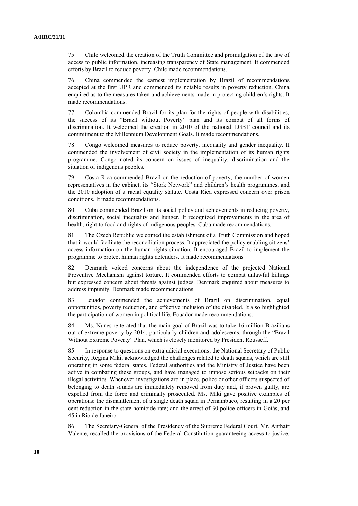75. Chile welcomed the creation of the Truth Committee and promulgation of the law of access to public information, increasing transparency of State management. It commended efforts by Brazil to reduce poverty. Chile made recommendations.

76. China commended the earnest implementation by Brazil of recommendations accepted at the first UPR and commended its notable results in poverty reduction. China enquired as to the measures taken and achievements made in protecting children's rights. It made recommendations.

77. Colombia commended Brazil for its plan for the rights of people with disabilities, the success of its "Brazil without Poverty" plan and its combat of all forms of discrimination. It welcomed the creation in 2010 of the national LGBT council and its commitment to the Millennium Development Goals. It made recommendations.

78. Congo welcomed measures to reduce poverty, inequality and gender inequality. It commended the involvement of civil society in the implementation of its human rights programme. Congo noted its concern on issues of inequality, discrimination and the situation of indigenous peoples.

79. Costa Rica commended Brazil on the reduction of poverty, the number of women representatives in the cabinet, its "Stork Network" and children's health programmes, and the 2010 adoption of a racial equality statute. Costa Rica expressed concern over prison conditions. It made recommendations.

80. Cuba commended Brazil on its social policy and achievements in reducing poverty, discrimination, social inequality and hunger. It recognized improvements in the area of health, right to food and rights of indigenous peoples. Cuba made recommendations.

81. The Czech Republic welcomed the establishment of a Truth Commission and hoped that it would facilitate the reconciliation process. It appreciated the policy enabling citizens' access information on the human rights situation. It encouraged Brazil to implement the programme to protect human rights defenders. It made recommendations.

82. Denmark voiced concerns about the independence of the projected National Preventive Mechanism against torture. It commended efforts to combat unlawful killings but expressed concern about threats against judges. Denmark enquired about measures to address impunity. Denmark made recommendations.

83. Ecuador commended the achievements of Brazil on discrimination, equal opportunities, poverty reduction, and effective inclusion of the disabled. It also highlighted the participation of women in political life. Ecuador made recommendations.

84. Ms. Nunes reiterated that the main goal of Brazil was to take 16 million Brazilians out of extreme poverty by 2014, particularly children and adolescents, through the "Brazil Without Extreme Poverty" Plan, which is closely monitored by President Rousseff.

85. In response to questions on extrajudicial executions, the National Secretary of Public Security, Regina Miki, acknowledged the challenges related to death squads, which are still operating in some federal states. Federal authorities and the Ministry of Justice have been active in combating these groups, and have managed to impose serious setbacks on their illegal activities. Whenever investigations are in place, police or other officers suspected of belonging to death squads are immediately removed from duty and, if proven guilty, are expelled from the force and criminally prosecuted. Ms. Miki gave positive examples of operations: the dismantlement of a single death squad in Pernambuco, resulting in a 20 per cent reduction in the state homicide rate; and the arrest of 30 police officers in Goiás, and 45 in Rio de Janeiro.

86. The Secretary-General of the Presidency of the Supreme Federal Court, Mr. Anthair Valente, recalled the provisions of the Federal Constitution guaranteeing access to justice.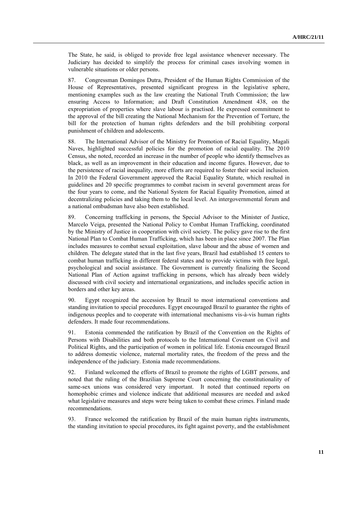The State, he said, is obliged to provide free legal assistance whenever necessary. The Judiciary has decided to simplify the process for criminal cases involving women in vulnerable situations or older persons.

87. Congressman Domingos Dutra, President of the Human Rights Commission of the House of Representatives, presented significant progress in the legislative sphere, mentioning examples such as the law creating the National Truth Commission; the law ensuring Access to Information; and Draft Constitution Amendment 438, on the expropriation of properties where slave labour is practised. He expressed commitment to the approval of the bill creating the National Mechanism for the Prevention of Torture, the bill for the protection of human rights defenders and the bill prohibiting corporal punishment of children and adolescents.

88. The International Advisor of the Ministry for Promotion of Racial Equality, Magali Naves, highlighted successful policies for the promotion of racial equality. The 2010 Census, she noted, recorded an increase in the number of people who identify themselves as black, as well as an improvement in their education and income figures. However, due to the persistence of racial inequality, more efforts are required to foster their social inclusion. In 2010 the Federal Government approved the Racial Equality Statute, which resulted in guidelines and 20 specific programmes to combat racism in several government areas for the four years to come, and the National System for Racial Equality Promotion, aimed at decentralizing policies and taking them to the local level. An intergovernmental forum and a national ombudsman have also been established.

89. Concerning trafficking in persons, the Special Advisor to the Minister of Justice, Marcelo Veiga, presented the National Policy to Combat Human Trafficking, coordinated by the Ministry of Justice in cooperation with civil society. The policy gave rise to the first National Plan to Combat Human Trafficking, which has been in place since 2007. The Plan includes measures to combat sexual exploitation, slave labour and the abuse of women and children. The delegate stated that in the last five years, Brazil had established 15 centers to combat human trafficking in different federal states and to provide victims with free legal, psychological and social assistance. The Government is currently finalizing the Second National Plan of Action against trafficking in persons, which has already been widely discussed with civil society and international organizations, and includes specific action in borders and other key areas.

90. Egypt recognized the accession by Brazil to most international conventions and standing invitation to special procedures. Egypt encouraged Brazil to guarantee the rights of indigenous peoples and to cooperate with international mechanisms vis-à-vis human rights defenders. It made four recommendations.

91. Estonia commended the ratification by Brazil of the Convention on the Rights of Persons with Disabilities and both protocols to the International Covenant on Civil and Political Rights, and the participation of women in political life. Estonia encouraged Brazil to address domestic violence, maternal mortality rates, the freedom of the press and the independence of the judiciary. Estonia made recommendations.

92. Finland welcomed the efforts of Brazil to promote the rights of LGBT persons, and noted that the ruling of the Brazilian Supreme Court concerning the constitutionality of same-sex unions was considered very important. It noted that continued reports on homophobic crimes and violence indicate that additional measures are needed and asked what legislative measures and steps were being taken to combat these crimes. Finland made recommendations.

93. France welcomed the ratification by Brazil of the main human rights instruments, the standing invitation to special procedures, its fight against poverty, and the establishment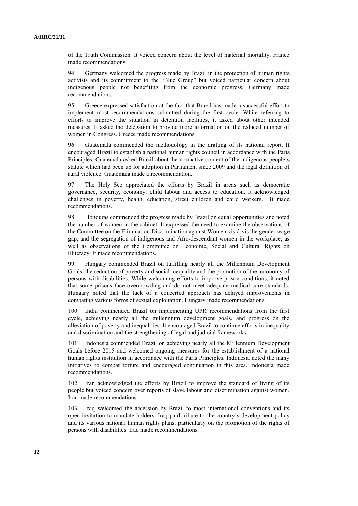of the Truth Commission. It voiced concern about the level of maternal mortality. France made recommendations.

94. Germany welcomed the progress made by Brazil in the protection of human rights activists and its commitment to the "Blue Group" but voiced particular concern about indigenous people not benefiting from the economic progress. Germany made recommendations.

95. Greece expressed satisfaction at the fact that Brazil has made a successful effort to implement most recommendations submitted during the first cycle. While referring to efforts to improve the situation in detention facilities, it asked about other intended measures. It asked the delegation to provide more information on the reduced number of women in Congress. Greece made recommendations.

96. Guatemala commended the methodology in the drafting of its national report. It encouraged Brazil to establish a national human rights council in accordance with the Paris Principles. Guatemala asked Brazil about the normative content of the indigenous people's statute which had been up for adoption in Parliament since 2009 and the legal definition of rural violence. Guatemala made a recommendation.

97. The Holy See appreciated the efforts by Brazil in areas such as democratic governance, security, economy, child labour and access to education. It acknowledged challenges in poverty, health, education, street children and child workers. It made recommendations.

98. Honduras commended the progress made by Brazil on equal opportunities and noted the number of women in the cabinet. It expressed the need to examine the observations of the Committee on the Elimination Discrimination against Women vis-à-vis the gender wage gap, and the segregation of indigenous and Afro-descendant women in the workplace; as well as observations of the Committee on Economic, Social and Cultural Rights on illiteracy. It made recommendations.

99. Hungary commended Brazil on fulfilling nearly all the Millennium Development Goals, the reduction of poverty and social inequality and the promotion of the autonomy of persons with disabilities. While welcoming efforts to improve prison conditions, it noted that some prisons face overcrowding and do not meet adequate medical care standards. Hungary noted that the lack of a concerted approach has delayed improvements in combating various forms of sexual exploitation. Hungary made recommendations.

100. India commended Brazil on implementing UPR recommendations from the first cycle, achieving nearly all the millennium development goals, and progress on the alleviation of poverty and inequalities. It encouraged Brazil to continue efforts in inequality and discrimination and the strengthening of legal and judicial frameworks.

101. Indonesia commended Brazil on achieving nearly all the Millennium Development Goals before 2015 and welcomed ongoing measures for the establishment of a national human rights institution in accordance with the Paris Principles. Indonesia noted the many initiatives to combat torture and encouraged continuation in this area. Indonesia made recommendations.

102. Iran acknowledged the efforts by Brazil to improve the standard of living of its people but voiced concern over reports of slave labour and discrimination against women. Iran made recommendations.

103. Iraq welcomed the accession by Brazil to most international conventions and its open invitation to mandate holders. Iraq paid tribute to the country's development policy and its various national human rights plans, particularly on the promotion of the rights of persons with disabilities. Iraq made recommendations.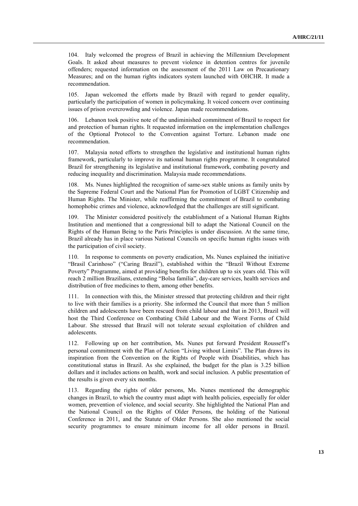104. Italy welcomed the progress of Brazil in achieving the Millennium Development Goals. It asked about measures to prevent violence in detention centres for juvenile offenders; requested information on the assessment of the 2011 Law on Precautionary Measures; and on the human rights indicators system launched with OHCHR. It made a recommendation.

105. Japan welcomed the efforts made by Brazil with regard to gender equality, particularly the participation of women in policymaking. It voiced concern over continuing issues of prison overcrowding and violence. Japan made recommendations.

106. Lebanon took positive note of the undiminished commitment of Brazil to respect for and protection of human rights. It requested information on the implementation challenges of the Optional Protocol to the Convention against Torture. Lebanon made one recommendation.

107. Malaysia noted efforts to strengthen the legislative and institutional human rights framework, particularly to improve its national human rights programme. It congratulated Brazil for strengthening its legislative and institutional framework, combating poverty and reducing inequality and discrimination. Malaysia made recommendations.

108. Ms. Nunes highlighted the recognition of same-sex stable unions as family units by the Supreme Federal Court and the National Plan for Promotion of LGBT Citizenship and Human Rights. The Minister, while reaffirming the commitment of Brazil to combating homophobic crimes and violence, acknowledged that the challenges are still significant.

109. The Minister considered positively the establishment of a National Human Rights Institution and mentioned that a congressional bill to adapt the National Council on the Rights of the Human Being to the Paris Principles is under discussion. At the same time, Brazil already has in place various National Councils on specific human rights issues with the participation of civil society.

110. In response to comments on poverty eradication, Ms. Nunes explained the initiative "Brasil Carinhoso" ("Caring Brazil"), established within the "Brazil Without Extreme Poverty" Programme, aimed at providing benefits for children up to six years old. This will reach 2 million Brazilians, extending "Bolsa família", day-care services, health services and distribution of free medicines to them, among other benefits.

111. In connection with this, the Minister stressed that protecting children and their right to live with their families is a priority. She informed the Council that more than 5 million children and adolescents have been rescued from child labour and that in 2013, Brazil will host the Third Conference on Combating Child Labour and the Worst Forms of Child Labour. She stressed that Brazil will not tolerate sexual exploitation of children and adolescents.

112. Following up on her contribution, Ms. Nunes put forward President Rousseff's personal commitment with the Plan of Action "Living without Limits". The Plan draws its inspiration from the Convention on the Rights of People with Disabilities, which has constitutional status in Brazil. As she explained, the budget for the plan is 3.25 billion dollars and it includes actions on health, work and social inclusion. A public presentation of the results is given every six months.

113. Regarding the rights of older persons, Ms. Nunes mentioned the demographic changes in Brazil, to which the country must adapt with health policies, especially for older women, prevention of violence, and social security. She highlighted the National Plan and the National Council on the Rights of Older Persons, the holding of the National Conference in 2011, and the Statute of Older Persons. She also mentioned the social security programmes to ensure minimum income for all older persons in Brazil.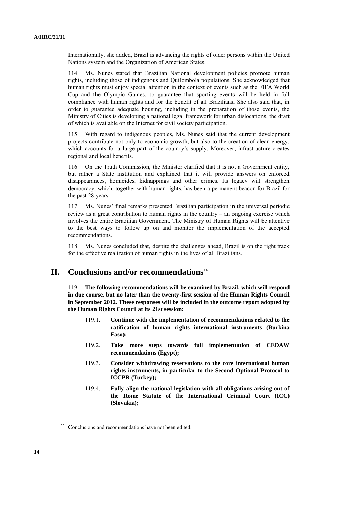Internationally, she added, Brazil is advancing the rights of older persons within the United Nations system and the Organization of American States.

114. Ms. Nunes stated that Brazilian National development policies promote human rights, including those of indigenous and Quilombola populations. She acknowledged that human rights must enjoy special attention in the context of events such as the FIFA World Cup and the Olympic Games, to guarantee that sporting events will be held in full compliance with human rights and for the benefit of all Brazilians. She also said that, in order to guarantee adequate housing, including in the preparation of those events, the Ministry of Cities is developing a national legal framework for urban dislocations, the draft of which is available on the Internet for civil society participation.

115. With regard to indigenous peoples, Ms. Nunes said that the current development projects contribute not only to economic growth, but also to the creation of clean energy, which accounts for a large part of the country's supply. Moreover, infrastructure creates regional and local benefits.

116. On the Truth Commission, the Minister clarified that it is not a Government entity, but rather a State institution and explained that it will provide answers on enforced disappearances, homicides, kidnappings and other crimes. Its legacy will strengthen democracy, which, together with human rights, has been a permanent beacon for Brazil for the past 28 years.

117. Ms. Nunes' final remarks presented Brazilian participation in the universal periodic review as a great contribution to human rights in the country – an ongoing exercise which involves the entire Brazilian Government. The Ministry of Human Rights will be attentive to the best ways to follow up on and monitor the implementation of the accepted recommendations.

118. Ms. Nunes concluded that, despite the challenges ahead, Brazil is on the right track for the effective realization of human rights in the lives of all Brazilians.

## **II. Conclusions and/or recommendations**\*\*

119. **The following recommendations will be examined by Brazil, which will respond in due course, but no later than the twenty-first session of the Human Rights Council in September 2012. These responses will be included in the outcome report adopted by the Human Rights Council at its 21st session:**

- 119.1. **Continue with the implementation of recommendations related to the ratification of human rights international instruments (Burkina Faso);**
- 119.2. **Take more steps towards full implementation of CEDAW recommendations (Egypt);**
- 119.3. **Consider withdrawing reservations to the core international human rights instruments, in particular to the Second Optional Protocol to ICCPR (Turkey);**
- 119.4. **Fully align the national legislation with all obligations arising out of the Rome Statute of the International Criminal Court (ICC) (Slovakia);**

Conclusions and recommendations have not been edited.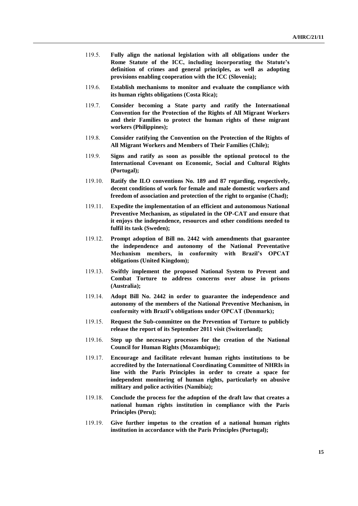- 119.5. **Fully align the national legislation with all obligations under the Rome Statute of the ICC, including incorporating the Statute's definition of crimes and general principles, as well as adopting provisions enabling cooperation with the ICC (Slovenia);**
- 119.6. **Establish mechanisms to monitor and evaluate the compliance with its human rights obligations (Costa Rica);**
- 119.7. **Consider becoming a State party and ratify the International Convention for the Protection of the Rights of All Migrant Workers and their Families to protect the human rights of these migrant workers (Philippines);**
- 119.8. **Consider ratifying the Convention on the Protection of the Rights of All Migrant Workers and Members of Their Families (Chile);**
- 119.9. **Signs and ratify as soon as possible the optional protocol to the International Covenant on Economic, Social and Cultural Rights (Portugal);**
- 119.10. **Ratify the ILO conventions No. 189 and 87 regarding, respectively, decent conditions of work for female and male domestic workers and freedom of association and protection of the right to organise (Chad);**
- 119.11. **Expedite the implementation of an efficient and autonomous National Preventive Mechanism, as stipulated in the OP-CAT and ensure that it enjoys the independence, resources and other conditions needed to fulfil its task (Sweden);**
- 119.12. **Prompt adoption of Bill no. 2442 with amendments that guarantee the independence and autonomy of the National Preventative Mechanism members, in conformity with Brazil's OPCAT obligations (United Kingdom);**
- 119.13. **Swiftly implement the proposed National System to Prevent and Combat Torture to address concerns over abuse in prisons (Australia);**
- 119.14. **Adopt Bill No. 2442 in order to guarantee the independence and autonomy of the members of the National Preventive Mechanism, in conformity with Brazil's obligations under OPCAT (Denmark);**
- 119.15. **Request the Sub-committee on the Prevention of Torture to publicly release the report of its September 2011 visit (Switzerland);**
- 119.16. **Step up the necessary processes for the creation of the National Council for Human Rights (Mozambique);**
- 119.17. **Encourage and facilitate relevant human rights institutions to be accredited by the International Coordinating Committee of NHRIs in line with the Paris Principles in order to create a space for independent monitoring of human rights, particularly on abusive military and police activities (Namibia);**
- 119.18. **Conclude the process for the adoption of the draft law that creates a national human rights institution in compliance with the Paris Principles (Peru);**
- 119.19. **Give further impetus to the creation of a national human rights institution in accordance with the Paris Principles (Portugal);**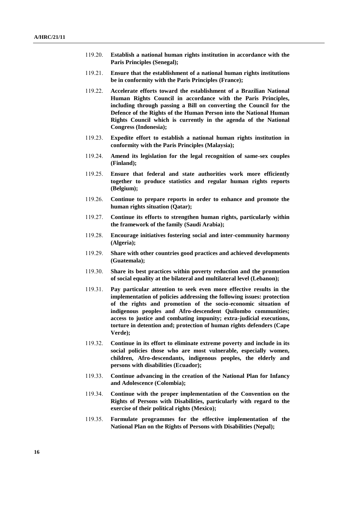- 119.20. **Establish a national human rights institution in accordance with the Paris Principles (Senegal);**
- 119.21. **Ensure that the establishment of a national human rights institutions be in conformity with the Paris Principles (France);**
- 119.22. **Accelerate efforts toward the establishment of a Brazilian National Human Rights Council in accordance with the Paris Principles, including through passing a Bill on converting the Council for the Defence of the Rights of the Human Person into the National Human Rights Council which is currently in the agenda of the National Congress (Indonesia);**
- 119.23. **Expedite effort to establish a national human rights institution in conformity with the Paris Principles (Malaysia);**
- 119.24. **Amend its legislation for the legal recognition of same-sex couples (Finland);**
- 119.25. **Ensure that federal and state authorities work more efficiently together to produce statistics and regular human rights reports (Belgium);**
- 119.26. **Continue to prepare reports in order to enhance and promote the human rights situation (Qatar);**
- 119.27. **Continue its efforts to strengthen human rights, particularly within the framework of the family (Saudi Arabia);**
- 119.28. **Encourage initiatives fostering social and inter-community harmony (Algeria);**
- 119.29. **Share with other countries good practices and achieved developments (Guatemala);**
- 119.30. **Share its best practices within poverty reduction and the promotion of social equality at the bilateral and multilateral level (Lebanon);**
- 119.31. **Pay particular attention to seek even more effective results in the implementation of policies addressing the following issues: protection of the rights and promotion of the socio-economic situation of indigenous peoples and Afro-descendent Quilombo communities; access to justice and combating impunity; extra-judicial executions, torture in detention and; protection of human rights defenders (Cape Verde);**
- 119.32. **Continue in its effort to eliminate extreme poverty and include in its social policies those who are most vulnerable, especially women, children, Afro-descendants, indigenous peoples, the elderly and persons with disabilities (Ecuador);**
- 119.33. **Continue advancing in the creation of the National Plan for Infancy and Adolescence (Colombia);**
- 119.34. **Continue with the proper implementation of the Convention on the Rights of Persons with Disabilities, particularly with regard to the exercise of their political rights (Mexico);**
- 119.35. **Formulate programmes for the effective implementation of the National Plan on the Rights of Persons with Disabilities (Nepal);**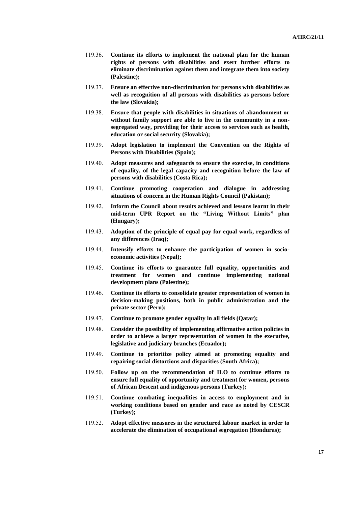- 119.36. **Continue its efforts to implement the national plan for the human rights of persons with disabilities and exert further efforts to eliminate discrimination against them and integrate them into society (Palestine);**
- 119.37. **Ensure an effective non-discrimination for persons with disabilities as well as recognition of all persons with disabilities as persons before the law (Slovakia);**
- 119.38. **Ensure that people with disabilities in situations of abandonment or without family support are able to live in the community in a nonsegregated way, providing for their access to services such as health, education or social security (Slovakia);**
- 119.39. **Adopt legislation to implement the Convention on the Rights of Persons with Disabilities (Spain);**
- 119.40. **Adopt measures and safeguards to ensure the exercise, in conditions of equality, of the legal capacity and recognition before the law of persons with disabilities (Costa Rica);**
- 119.41. **Continue promoting cooperation and dialogue in addressing situations of concern in the Human Rights Council (Pakistan);**
- 119.42. **Inform the Council about results achieved and lessons learnt in their mid-term UPR Report on the "Living Without Limits" plan (Hungary);**
- 119.43. **Adoption of the principle of equal pay for equal work, regardless of any differences (Iraq);**
- 119.44. **Intensify efforts to enhance the participation of women in socioeconomic activities (Nepal);**
- 119.45. **Continue its efforts to guarantee full equality, opportunities and treatment for women and continue implementing national development plans (Palestine);**
- 119.46. **Continue its efforts to consolidate greater representation of women in decision-making positions, both in public administration and the private sector (Peru);**
- 119.47. **Continue to promote gender equality in all fields (Qatar);**
- 119.48. **Consider the possibility of implementing affirmative action policies in order to achieve a larger representation of women in the executive, legislative and judiciary branches (Ecuador);**
- 119.49. **Continue to prioritize policy aimed at promoting equality and repairing social distortions and disparities (South Africa);**
- 119.50. **Follow up on the recommendation of ILO to continue efforts to ensure full equality of opportunity and treatment for women, persons of African Descent and indigenous persons (Turkey);**
- 119.51. **Continue combating inequalities in access to employment and in working conditions based on gender and race as noted by CESCR (Turkey);**
- 119.52. **Adopt effective measures in the structured labour market in order to accelerate the elimination of occupational segregation (Honduras);**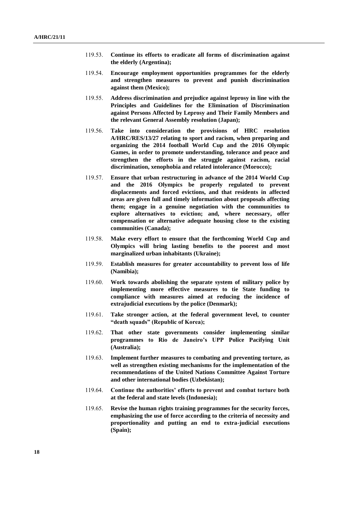- 119.53. **Continue its efforts to eradicate all forms of discrimination against the elderly (Argentina);**
- 119.54. **Encourage employment opportunities programmes for the elderly and strengthen measures to prevent and punish discrimination against them (Mexico);**
- 119.55. **Address discrimination and prejudice against leprosy in line with the Principles and Guidelines for the Elimination of Discrimination against Persons Affected by Leprosy and Their Family Members and the relevant General Assembly resolution (Japan);**
- 119.56. **Take into consideration the provisions of HRC resolution A/HRC/RES/13/27 relating to sport and racism, when preparing and organizing the 2014 football World Cup and the 2016 Olympic Games, in order to promote understanding, tolerance and peace and strengthen the efforts in the struggle against racism, racial discrimination, xenophobia and related intolerance (Morocco);**
- 119.57. **Ensure that urban restructuring in advance of the 2014 World Cup and the 2016 Olympics be properly regulated to prevent displacements and forced evictions, and that residents in affected areas are given full and timely information about proposals affecting them; engage in a genuine negotiation with the communities to explore alternatives to eviction; and, where necessary, offer compensation or alternative adequate housing close to the existing communities (Canada);**
- 119.58. **Make every effort to ensure that the forthcoming World Cup and Olympics will bring lasting benefits to the poorest and most marginalized urban inhabitants (Ukraine);**
- 119.59. **Establish measures for greater accountability to prevent loss of life (Namibia);**
- 119.60. **Work towards abolishing the separate system of military police by implementing more effective measures to tie State funding to compliance with measures aimed at reducing the incidence of extrajudicial executions by the police (Denmark);**
- 119.61. **Take stronger action, at the federal government level, to counter "death squads" (Republic of Korea);**
- 119.62. **That other state governments consider implementing similar programmes to Rio de Janeiro's UPP Police Pacifying Unit (Australia);**
- 119.63. **Implement further measures to combating and preventing torture, as well as strengthen existing mechanisms for the implementation of the recommendations of the United Nations Committee Against Torture and other international bodies (Uzbekistan);**
- 119.64. **Continue the authorities' efforts to prevent and combat torture both at the federal and state levels (Indonesia);**
- 119.65. **Revise the human rights training programmes for the security forces, emphasizing the use of force according to the criteria of necessity and proportionality and putting an end to extra-judicial executions (Spain);**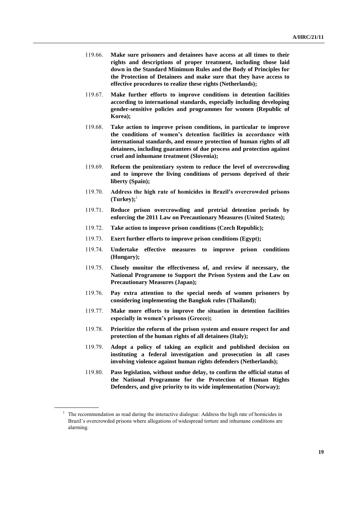- 119.66. **Make sure prisoners and detainees have access at all times to their rights and descriptions of proper treatment, including those laid down in the Standard Minimum Rules and the Body of Principles for the Protection of Detainees and make sure that they have access to effective procedures to realize these rights (Netherlands);**
- 119.67. **Make further efforts to improve conditions in detention facilities according to international standards, especially including developing gender-sensitive policies and programmes for women (Republic of Korea);**
- 119.68. **Take action to improve prison conditions, in particular to improve the conditions of women's detention facilities in accordance with international standards, and ensure protection of human rights of all detainees, including guarantees of due process and protection against cruel and inhumane treatment (Slovenia);**
- 119.69. **Reform the penitentiary system to reduce the level of overcrowding and to improve the living conditions of persons deprived of their liberty (Spain);**
- 119.70. **Address the high rate of homicides in Brazil's overcrowded prisons**   $(Turkey);$ <sup>1</sup>
- 119.71. **Reduce prison overcrowding and pretrial detention periods by enforcing the 2011 Law on Precautionary Measures (United States);**
- 119.72. **Take action to improve prison conditions (Czech Republic);**
- 119.73. **Exert further efforts to improve prison conditions (Egypt);**
- 119.74. **Undertake effective measures to improve prison conditions (Hungary);**
- 119.75. **Closely monitor the effectiveness of, and review if necessary, the National Programme to Support the Prison System and the Law on Precautionary Measures (Japan);**
- 119.76. **Pay extra attention to the special needs of women prisoners by considering implementing the Bangkok rules (Thailand);**
- 119.77. **Make more efforts to improve the situation in detention facilities especially in women's prisons (Greece);**
- 119.78. **Prioritize the reform of the prison system and ensure respect for and protection of the human rights of all detainees (Italy);**
- 119.79. **Adopt a policy of taking an explicit and published decision on instituting a federal investigation and prosecution in all cases involving violence against human rights defenders (Netherlands);**
- 119.80. **Pass legislation, without undue delay, to confirm the official status of the National Programme for the Protection of Human Rights Defenders, and give priority to its wide implementation (Norway);**

<sup>&</sup>lt;sup>1</sup> The recommendation as read during the interactive dialogue: Address the high rate of homicides in Brazil's overcrowded prisons where allegations of widespread torture and inhumane conditions are alarming.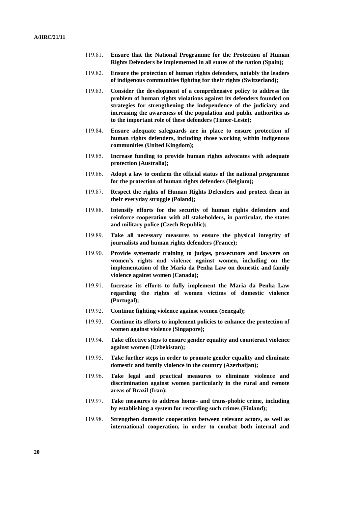- 119.81. **Ensure that the National Programme for the Protection of Human Rights Defenders be implemented in all states of the nation (Spain);**
- 119.82. **Ensure the protection of human rights defenders, notably the leaders of indigenous communities fighting for their rights (Switzerland);**
- 119.83. **Consider the development of a comprehensive policy to address the problem of human rights violations against its defenders founded on strategies for strengthening the independence of the judiciary and increasing the awareness of the population and public authorities as to the important role of these defenders (Timor-Leste);**
- 119.84. **Ensure adequate safeguards are in place to ensure protection of human rights defenders, including those working within indigenous communities (United Kingdom);**
- 119.85. **Increase funding to provide human rights advocates with adequate protection (Australia);**
- 119.86. **Adopt a law to confirm the official status of the national programme for the protection of human rights defenders (Belgium);**
- 119.87. **Respect the rights of Human Rights Defenders and protect them in their everyday struggle (Poland);**
- 119.88. **Intensify efforts for the security of human rights defenders and reinforce cooperation with all stakeholders, in particular, the states and military police (Czech Republic);**
- 119.89. **Take all necessary measures to ensure the physical integrity of journalists and human rights defenders (France);**
- 119.90. **Provide systematic training to judges, prosecutors and lawyers on women's rights and violence against women, including on the implementation of the Maria da Penha Law on domestic and family violence against women (Canada);**
- 119.91. **Increase its efforts to fully implement the Maria da Penha Law regarding the rights of women victims of domestic violence (Portugal);**
- 119.92. **Continue fighting violence against women (Senegal);**
- 119.93. **Continue its efforts to implement policies to enhance the protection of women against violence (Singapore);**
- 119.94. **Take effective steps to ensure gender equality and counteract violence against women (Uzbekistan);**
- 119.95. **Take further steps in order to promote gender equality and eliminate domestic and family violence in the country (Azerbaijan);**
- 119.96. **Take legal and practical measures to eliminate violence and discrimination against women particularly in the rural and remote areas of Brazil (Iran);**
- 119.97. **Take measures to address homo- and trans-phobic crime, including by establishing a system for recording such crimes (Finland);**
- 119.98. **Strengthen domestic cooperation between relevant actors, as well as international cooperation, in order to combat both internal and**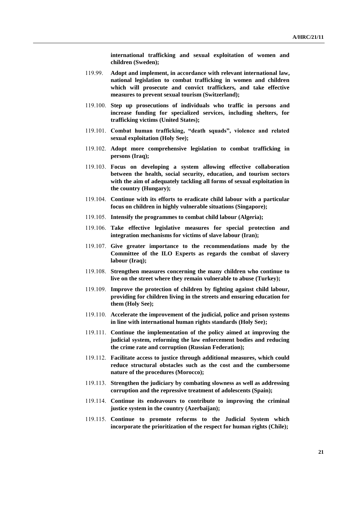**international trafficking and sexual exploitation of women and children (Sweden);**

- 119.99. **Adopt and implement, in accordance with relevant international law, national legislation to combat trafficking in women and children which will prosecute and convict traffickers, and take effective measures to prevent sexual tourism (Switzerland);**
- 119.100. **Step up prosecutions of individuals who traffic in persons and increase funding for specialized services, including shelters, for trafficking victims (United States);**
- 119.101. **Combat human trafficking, "death squads", violence and related sexual exploitation (Holy See);**
- 119.102. **Adopt more comprehensive legislation to combat trafficking in persons (Iraq);**
- 119.103. **Focus on developing a system allowing effective collaboration between the health, social security, education, and tourism sectors with the aim of adequately tackling all forms of sexual exploitation in the country (Hungary);**
- 119.104. **Continue with its efforts to eradicate child labour with a particular focus on children in highly vulnerable situations (Singapore);**
- 119.105. **Intensify the programmes to combat child labour (Algeria);**
- 119.106. **Take effective legislative measures for special protection and integration mechanisms for victims of slave labour (Iran);**
- 119.107. **Give greater importance to the recommendations made by the Committee of the ILO Experts as regards the combat of slavery labour (Iraq);**
- 119.108. **Strengthen measures concerning the many children who continue to live on the street where they remain vulnerable to abuse (Turkey);**
- 119.109. **Improve the protection of children by fighting against child labour, providing for children living in the streets and ensuring education for them (Holy See);**
- 119.110. **Accelerate the improvement of the judicial, police and prison systems in line with international human rights standards (Holy See);**
- 119.111. **Continue the implementation of the policy aimed at improving the judicial system, reforming the law enforcement bodies and reducing the crime rate and corruption (Russian Federation);**
- 119.112. **Facilitate access to justice through additional measures, which could reduce structural obstacles such as the cost and the cumbersome nature of the procedures (Morocco);**
- 119.113. **Strengthen the judiciary by combating slowness as well as addressing corruption and the repressive treatment of adolescents (Spain);**
- 119.114. **Continue its endeavours to contribute to improving the criminal justice system in the country (Azerbaijan);**
- 119.115. **Continue to promote reforms to the Judicial System which incorporate the prioritization of the respect for human rights (Chile);**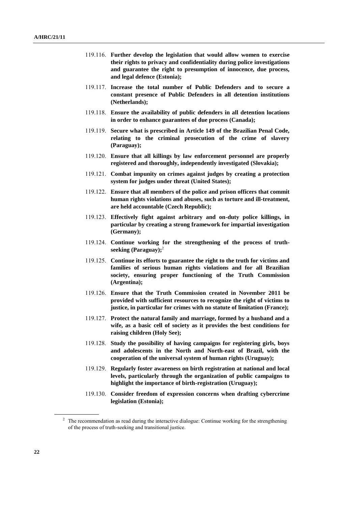- 119.116. **Further develop the legislation that would allow women to exercise their rights to privacy and confidentiality during police investigations and guarantee the right to presumption of innocence, due process, and legal defence (Estonia);**
- 119.117. **Increase the total number of Public Defenders and to secure a constant presence of Public Defenders in all detention institutions (Netherlands);**
- 119.118. **Ensure the availability of public defenders in all detention locations in order to enhance guarantees of due process (Canada);**
- 119.119. **Secure what is prescribed in Article 149 of the Brazilian Penal Code, relating to the criminal prosecution of the crime of slavery (Paraguay);**
- 119.120. **Ensure that all killings by law enforcement personnel are properly registered and thoroughly, independently investigated (Slovakia);**
- 119.121. **Combat impunity on crimes against judges by creating a protection system for judges under threat (United States);**
- 119.122. **Ensure that all members of the police and prison officers that commit human rights violations and abuses, such as torture and ill-treatment, are held accountable (Czech Republic);**
- 119.123. **Effectively fight against arbitrary and on-duty police killings, in particular by creating a strong framework for impartial investigation (Germany);**
- 119.124. **Continue working for the strengthening of the process of truthseeking (Paraguay);**<sup>2</sup>
- 119.125. **Continue its efforts to guarantee the right to the truth for victims and families of serious human rights violations and for all Brazilian society, ensuring proper functioning of the Truth Commission (Argentina);**
- 119.126. **Ensure that the Truth Commission created in November 2011 be provided with sufficient resources to recognize the right of victims to justice, in particular for crimes with no statute of limitation (France);**
- 119.127. **Protect the natural family and marriage, formed by a husband and a wife, as a basic cell of society as it provides the best conditions for raising children (Holy See);**
- 119.128. **Study the possibility of having campaigns for registering girls, boys and adolescents in the North and North-east of Brazil, with the cooperation of the universal system of human rights (Uruguay);**
- 119.129. **Regularly foster awareness on birth registration at national and local levels, particularly through the organization of public campaigns to highlight the importance of birth-registration (Uruguay);**
- 119.130. **Consider freedom of expression concerns when drafting cybercrime legislation (Estonia);**

<sup>&</sup>lt;sup>2</sup> The recommendation as read during the interactive dialogue: Continue working for the strengthening of the process of truth-seeking and transitional justice.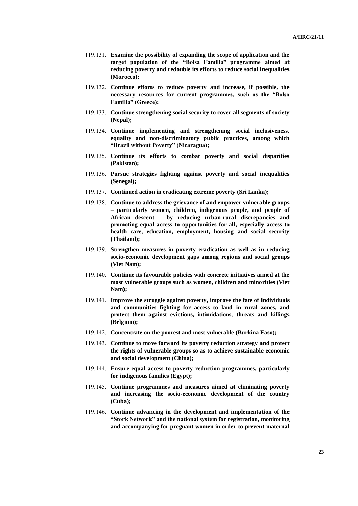- 119.131. **Examine the possibility of expanding the scope of application and the target population of the "Bolsa Familia" programme aimed at reducing poverty and redouble its efforts to reduce social inequalities (Morocco);**
- 119.132. **Continue efforts to reduce poverty and increase, if possible, the necessary resources for current programmes, such as the "Bolsa Familia" (Greece);**
- 119.133. **Continue strengthening social security to cover all segments of society (Nepal);**
- 119.134. **Continue implementing and strengthening social inclusiveness, equality and non-discriminatory public practices, among which "Brazil without Poverty" (Nicaragua);**
- 119.135. **Continue its efforts to combat poverty and social disparities (Pakistan);**
- 119.136. **Pursue strategies fighting against poverty and social inequalities (Senegal);**
- 119.137. **Continued action in eradicating extreme poverty (Sri Lanka);**
- 119.138. **Continue to address the grievance of and empower vulnerable groups – particularly women, children, indigenous people, and people of African descent – by reducing urban-rural discrepancies and promoting equal access to opportunities for all, especially access to health care, education, employment, housing and social security (Thailand);**
- 119.139. **Strengthen measures in poverty eradication as well as in reducing socio-economic development gaps among regions and social groups (Viet Nam);**
- 119.140. **Continue its favourable policies with concrete initiatives aimed at the most vulnerable groups such as women, children and minorities (Viet Nam);**
- 119.141. **Improve the struggle against poverty, improve the fate of individuals and communities fighting for access to land in rural zones, and protect them against evictions, intimidations, threats and killings (Belgium);**
- 119.142. **Concentrate on the poorest and most vulnerable (Burkina Faso);**
- 119.143. **Continue to move forward its poverty reduction strategy and protect the rights of vulnerable groups so as to achieve sustainable economic and social development (China);**
- 119.144. **Ensure equal access to poverty reduction programmes, particularly for indigenous families (Egypt);**
- 119.145. **Continue programmes and measures aimed at eliminating poverty and increasing the socio-economic development of the country (Cuba);**
- 119.146. **Continue advancing in the development and implementation of the "Stork Network" and the national system for registration, monitoring and accompanying for pregnant women in order to prevent maternal**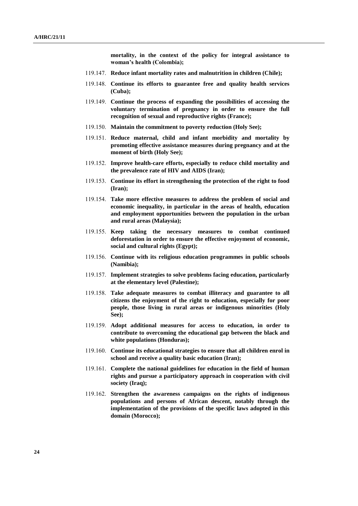**mortality, in the context of the policy for integral assistance to woman's health (Colombia);**

- 119.147. **Reduce infant mortality rates and malnutrition in children (Chile);**
- 119.148. **Continue its efforts to guarantee free and quality health services (Cuba);**
- 119.149. **Continue the process of expanding the possibilities of accessing the voluntary termination of pregnancy in order to ensure the full recognition of sexual and reproductive rights (France);**
- 119.150. **Maintain the commitment to poverty reduction (Holy See);**
- 119.151. **Reduce maternal, child and infant morbidity and mortality by promoting effective assistance measures during pregnancy and at the moment of birth (Holy See);**
- 119.152. **Improve health-care efforts, especially to reduce child mortality and the prevalence rate of HIV and AIDS (Iran);**
- 119.153. **Continue its effort in strengthening the protection of the right to food (Iran);**
- 119.154. **Take more effective measures to address the problem of social and economic inequality, in particular in the areas of health, education and employment opportunities between the population in the urban and rural areas (Malaysia);**
- 119.155. **Keep taking the necessary measures to combat continued deforestation in order to ensure the effective enjoyment of economic, social and cultural rights (Egypt);**
- 119.156. **Continue with its religious education programmes in public schools (Namibia);**
- 119.157. **Implement strategies to solve problems facing education, particularly at the elementary level (Palestine);**
- 119.158. **Take adequate measures to combat illiteracy and guarantee to all citizens the enjoyment of the right to education, especially for poor people, those living in rural areas or indigenous minorities (Holy See);**
- 119.159. **Adopt additional measures for access to education, in order to contribute to overcoming the educational gap between the black and white populations (Honduras);**
- 119.160. **Continue its educational strategies to ensure that all children enrol in school and receive a quality basic education (Iran);**
- 119.161. **Complete the national guidelines for education in the field of human rights and pursue a participatory approach in cooperation with civil society (Iraq);**
- 119.162. **Strengthen the awareness campaigns on the rights of indigenous populations and persons of African descent, notably through the implementation of the provisions of the specific laws adopted in this domain (Morocco);**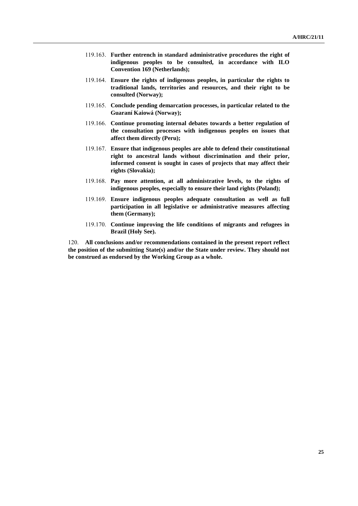- 119.163. **Further entrench in standard administrative procedures the right of indigenous peoples to be consulted, in accordance with ILO Convention 169 (Netherlands);**
- 119.164. **Ensure the rights of indigenous peoples, in particular the rights to traditional lands, territories and resources, and their right to be consulted (Norway);**
- 119.165. **Conclude pending demarcation processes, in particular related to the Guaraní Kaiowá (Norway);**
- 119.166. **Continue promoting internal debates towards a better regulation of the consultation processes with indigenous peoples on issues that affect them directly (Peru);**
- 119.167. **Ensure that indigenous peoples are able to defend their constitutional right to ancestral lands without discrimination and their prior, informed consent is sought in cases of projects that may affect their rights (Slovakia);**
- 119.168. **Pay more attention, at all administrative levels, to the rights of indigenous peoples, especially to ensure their land rights (Poland);**
- 119.169. **Ensure indigenous peoples adequate consultation as well as full participation in all legislative or administrative measures affecting them (Germany);**
- 119.170. **Continue improving the life conditions of migrants and refugees in Brazil (Holy See).**

120. **All conclusions and/or recommendations contained in the present report reflect the position of the submitting State(s) and/or the State under review. They should not be construed as endorsed by the Working Group as a whole.**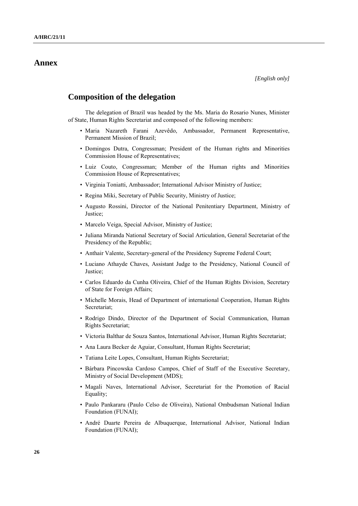## **Annex**

## **Composition of the delegation**

The delegation of Brazil was headed by the Ms. Maria do Rosario Nunes, Minister of State, Human Rights Secretariat and composed of the following members:

- Maria Nazareth Farani Azevêdo, Ambassador, Permanent Representative, Permanent Mission of Brazil;
- Domingos Dutra, Congressman; President of the Human rights and Minorities Commission House of Representatives;
- Luiz Couto, Congressman; Member of the Human rights and Minorities Commission House of Representatives;
- Virginia Toniatti, Ambassador; International Advisor Ministry of Justice;
- Regina Miki, Secretary of Public Security, Ministry of Justice;
- Augusto Rossini, Director of the National Penitentiary Department, Ministry of Justice;
- Marcelo Veiga, Special Advisor, Ministry of Justice;
- Juliana Miranda National Secretary of Social Articulation, General Secretariat of the Presidency of the Republic;
- Anthair Valente, Secretary-general of the Presidency Supreme Federal Court;
- Luciano Athayde Chaves, Assistant Judge to the Presidency, National Council of Justice;
- Carlos Eduardo da Cunha Oliveira, Chief of the Human Rights Division, Secretary of State for Foreign Affairs;
- Michelle Morais, Head of Department of international Cooperation, Human Rights Secretariat;
- Rodrigo Dindo, Director of the Department of Social Communication, Human Rights Secretariat;
- Victoria Balthar de Souza Santos, International Advisor, Human Rights Secretariat;
- Ana Laura Becker de Aguiar, Consultant, Human Rights Secretariat;
- Tatiana Leite Lopes, Consultant, Human Rights Secretariat;
- Bárbara Pincowska Cardoso Campos, Chief of Staff of the Executive Secretary, Ministry of Social Development (MDS);
- Magali Naves, International Advisor, Secretariat for the Promotion of Racial Equality;
- Paulo Pankararu (Paulo Celso de Oliveira), National Ombudsman National Indian Foundation (FUNAI);
- André Duarte Pereira de Albuquerque, International Advisor, National Indian Foundation (FUNAI);